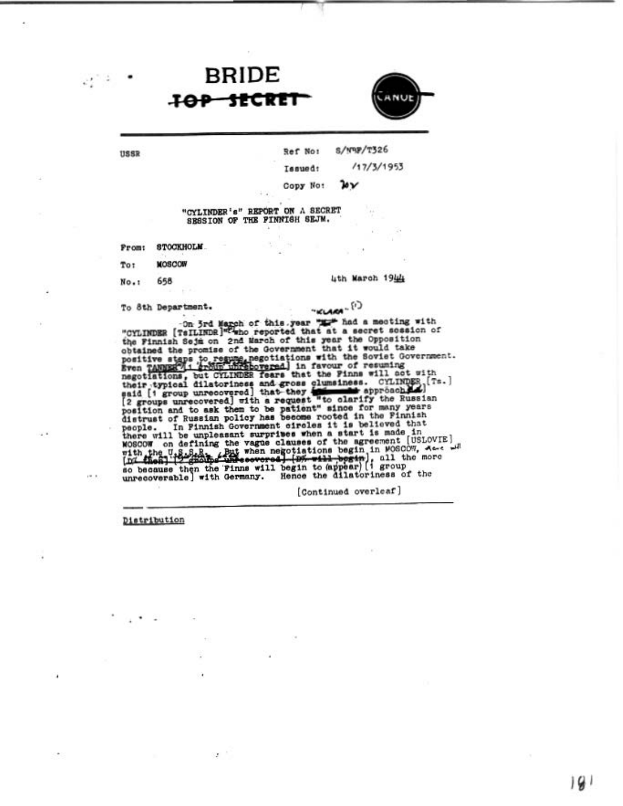## **JOP HICK**

**BRIDE** 



USSR

 $\bullet$ 

 $\mathcal{O}^{(n-1)}$ 

 $s$ /www/r326 Ref No:

 $/17/3/1953$ 

4th March 1944

Copy No: ษ∨

Tasued:

"CYLINDER's" REPORT ON A SECRET SESSION OF THE FINNISH SEJM.

**STOCKHOLM** Prom:

**MOSCOW** Tot

658 No.:

To 8th Department.

 $-$ KLARA $(1)$ 

To our negariants. The same of this year is a section of the Fininh Schimar in the formula of the fininh Schimar and March of this year the Opposition obtained the promise of the Government that it would take pointing  $\frac$ 

[Continued overleaf]

Distribution

 $\mathcal{F}^{\mathcal{F}}$  .

 $\mathbf{r} = -\mathbf{r}$